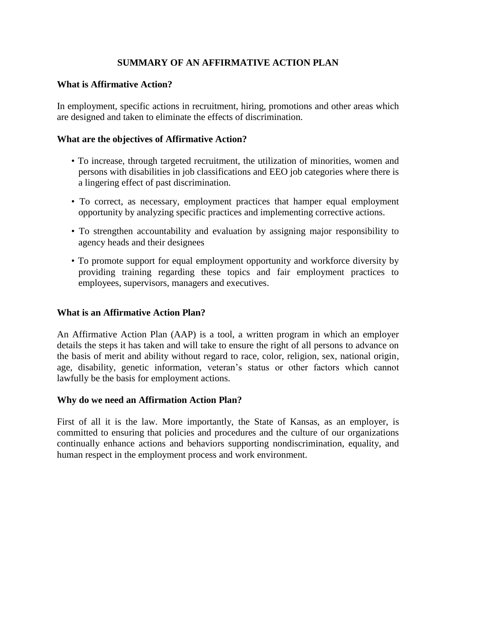# **SUMMARY OF AN AFFIRMATIVE ACTION PLAN**

## **What is Affirmative Action?**

In employment, specific actions in recruitment, hiring, promotions and other areas which are designed and taken to eliminate the effects of discrimination.

## **What are the objectives of Affirmative Action?**

- To increase, through targeted recruitment, the utilization of minorities, women and persons with disabilities in job classifications and EEO job categories where there is a lingering effect of past discrimination.
- To correct, as necessary, employment practices that hamper equal employment opportunity by analyzing specific practices and implementing corrective actions.
- To strengthen accountability and evaluation by assigning major responsibility to agency heads and their designees
- To promote support for equal employment opportunity and workforce diversity by providing training regarding these topics and fair employment practices to employees, supervisors, managers and executives.

### **What is an Affirmative Action Plan?**

An Affirmative Action Plan (AAP) is a tool, a written program in which an employer details the steps it has taken and will take to ensure the right of all persons to advance on the basis of merit and ability without regard to race, color, religion, sex, national origin, age, disability, genetic information, veteran's status or other factors which cannot lawfully be the basis for employment actions.

### **Why do we need an Affirmation Action Plan?**

First of all it is the law. More importantly, the State of Kansas, as an employer, is committed to ensuring that policies and procedures and the culture of our organizations continually enhance actions and behaviors supporting nondiscrimination, equality, and human respect in the employment process and work environment.